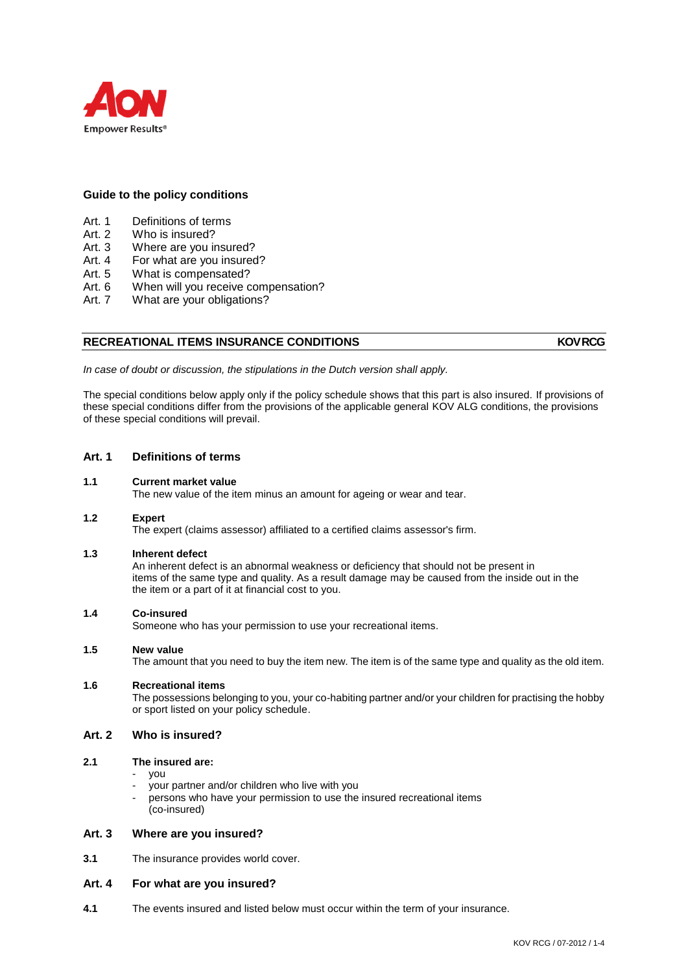

# **Guide to the policy conditions**

- Art. 1 Definitions of terms<br>Art. 2 Who is insured?
- Art. 2 Who is insured?<br>Art. 3 Where are you in
- Where are you insured?
- Art. 4 For what are you insured?<br>Art. 5 What is compensated?
- What is compensated?
- Art. 6 When will you receive compensation?
- Art. 7 What are your obligations?

# **RECREATIONAL ITEMS INSURANCE CONDITIONS AND RECREATIONAL ITEMS**

*In case of doubt or discussion, the stipulations in the Dutch version shall apply.*

The special conditions below apply only if the policy schedule shows that this part is also insured. If provisions of these special conditions differ from the provisions of the applicable general KOV ALG conditions, the provisions of these special conditions will prevail.

# **Art. 1 Definitions of terms**

### **1.1 Current market value**

The new value of the item minus an amount for ageing or wear and tear.

### **1.2 Expert**

The expert (claims assessor) affiliated to a certified claims assessor's firm.

### **1.3 Inherent defect**

An inherent defect is an abnormal weakness or deficiency that should not be present in items of the same type and quality. As a result damage may be caused from the inside out in the the item or a part of it at financial cost to you.

# **1.4 Co-insured**

Someone who has your permission to use your recreational items.

## **1.5 New value**

The amount that you need to buy the item new. The item is of the same type and quality as the old item.

## **1.6 Recreational items**

The possessions belonging to you, your co-habiting partner and/or your children for practising the hobby or sport listed on your policy schedule.

# **Art. 2 Who is insured?**

### **2.1 The insured are:**

- you
- your partner and/or children who live with you
- persons who have your permission to use the insured recreational items (co-insured)

## **Art. 3 Where are you insured?**

**3.1** The insurance provides world cover.

### **Art. 4 For what are you insured?**

**4.1** The events insured and listed below must occur within the term of your insurance.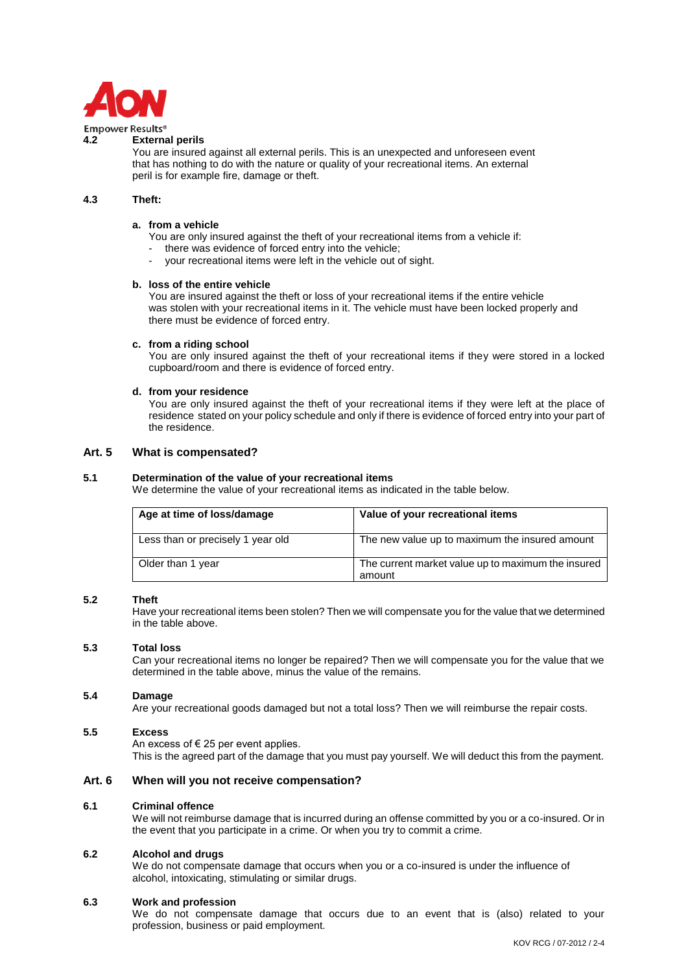

#### **Empower Results® 4.2 External perils**

You are insured against all external perils. This is an unexpected and unforeseen event that has nothing to do with the nature or quality of your recreational items. An external peril is for example fire, damage or theft.

#### **4.3 Theft:**

# **a. from a vehicle**

- You are only insured against the theft of your recreational items from a vehicle if:
- there was evidence of forced entry into the vehicle;
- your recreational items were left in the vehicle out of sight.

#### **b. loss of the entire vehicle**

You are insured against the theft or loss of your recreational items if the entire vehicle was stolen with your recreational items in it. The vehicle must have been locked properly and there must be evidence of forced entry.

#### **c. from a riding school**

You are only insured against the theft of your recreational items if they were stored in a locked cupboard/room and there is evidence of forced entry.

#### **d. from your residence**

You are only insured against the theft of your recreational items if they were left at the place of residence stated on your policy schedule and only if there is evidence of forced entry into your part of the residence.

# **Art. 5 What is compensated?**

### **5.1 Determination of the value of your recreational items**

We determine the value of your recreational items as indicated in the table below.

| Age at time of loss/damage        | Value of your recreational items                             |
|-----------------------------------|--------------------------------------------------------------|
| Less than or precisely 1 year old | The new value up to maximum the insured amount               |
| Older than 1 year                 | The current market value up to maximum the insured<br>amount |

### **5.2 Theft**

Have your recreational items been stolen? Then we will compensate you for the value that we determined in the table above.

#### **5.3 Total loss**

Can your recreational items no longer be repaired? Then we will compensate you for the value that we determined in the table above, minus the value of the remains.

### **5.4 Damage**

Are your recreational goods damaged but not a total loss? Then we will reimburse the repair costs.

## **5.5 Excess**

An excess of  $\epsilon$  25 per event applies.

This is the agreed part of the damage that you must pay yourself. We will deduct this from the payment.

## **Art. 6 When will you not receive compensation?**

### **6.1 Criminal offence**

We will not reimburse damage that is incurred during an offense committed by you or a co-insured. Or in the event that you participate in a crime. Or when you try to commit a crime.

# **6.2 Alcohol and drugs**

We do not compensate damage that occurs when you or a co-insured is under the influence of alcohol, intoxicating, stimulating or similar drugs.

### **6.3 Work and profession**

We do not compensate damage that occurs due to an event that is (also) related to your profession, business or paid employment.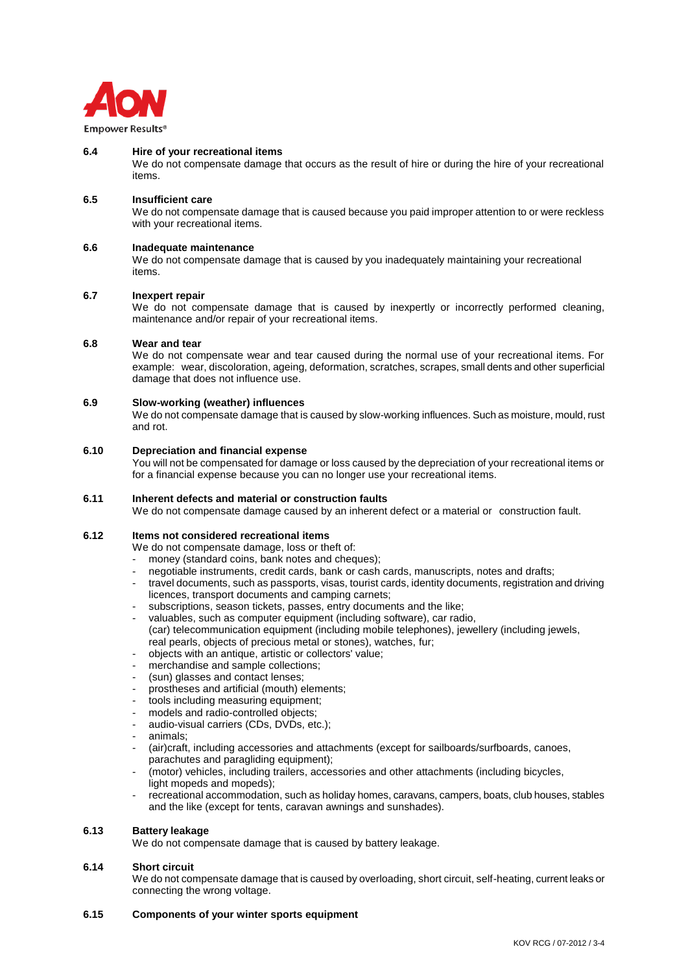

### **6.4 Hire of your recreational items**

We do not compensate damage that occurs as the result of hire or during the hire of your recreational items.

## **6.5 Insufficient care**

We do not compensate damage that is caused because you paid improper attention to or were reckless with your recreational items.

#### **6.6 Inadequate maintenance**

We do not compensate damage that is caused by you inadequately maintaining your recreational items.

#### **6.7 Inexpert repair**

We do not compensate damage that is caused by inexpertly or incorrectly performed cleaning, maintenance and/or repair of your recreational items.

#### **6.8 Wear and tear**

We do not compensate wear and tear caused during the normal use of your recreational items. For example: wear, discoloration, ageing, deformation, scratches, scrapes, small dents and other superficial damage that does not influence use.

# **6.9 Slow-working (weather) influences**

We do not compensate damage that is caused by slow-working influences. Such as moisture, mould, rust and rot.

# **6.10 Depreciation and financial expense**

You will not be compensated for damage or loss caused by the depreciation of your recreational items or for a financial expense because you can no longer use your recreational items.

# **6.11 Inherent defects and material or construction faults**

We do not compensate damage caused by an inherent defect or a material or construction fault.

#### **6.12 Items not considered recreational items**

We do not compensate damage, loss or theft of:

- money (standard coins, bank notes and cheques);
- negotiable instruments, credit cards, bank or cash cards, manuscripts, notes and drafts;
- travel documents, such as passports, visas, tourist cards, identity documents, registration and driving licences, transport documents and camping carnets;
- subscriptions, season tickets, passes, entry documents and the like;
- valuables, such as computer equipment (including software), car radio, (car) telecommunication equipment (including mobile telephones), jewellery (including jewels, real pearls, objects of precious metal or stones), watches, fur;
- objects with an antique, artistic or collectors' value;
- merchandise and sample collections:
- (sun) glasses and contact lenses;
- prostheses and artificial (mouth) elements;
- tools including measuring equipment;
- models and radio-controlled objects;
- audio-visual carriers (CDs, DVDs, etc.);
- animals;
- (air)craft, including accessories and attachments (except for sailboards/surfboards, canoes, parachutes and paragliding equipment);
- (motor) vehicles, including trailers, accessories and other attachments (including bicycles, light mopeds and mopeds);
- recreational accommodation, such as holiday homes, caravans, campers, boats, club houses, stables and the like (except for tents, caravan awnings and sunshades).

#### **6.13 Battery leakage**

We do not compensate damage that is caused by battery leakage.

#### **6.14 Short circuit**

We do not compensate damage that is caused by overloading, short circuit, self-heating, current leaks or connecting the wrong voltage.

### **6.15 Components of your winter sports equipment**